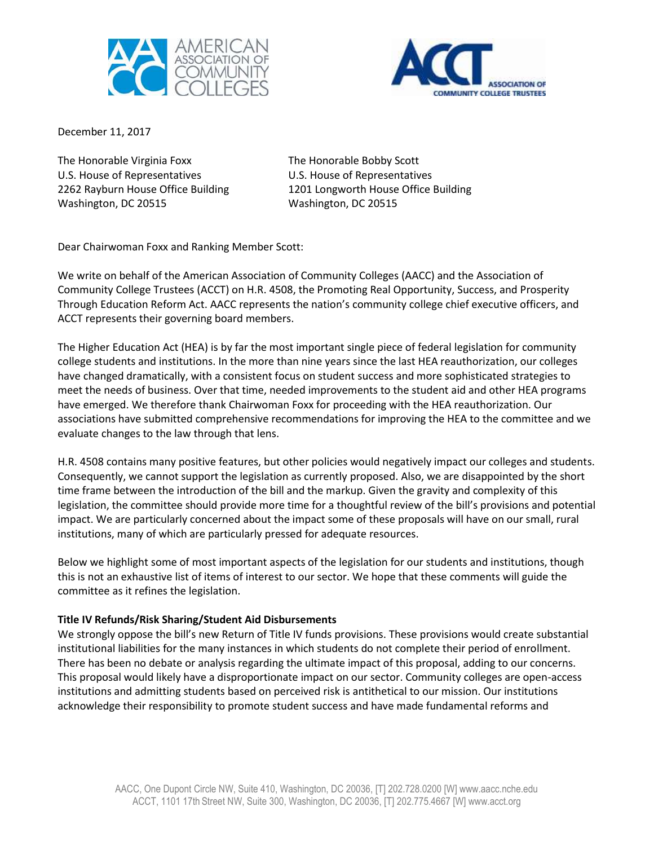



December 11, 2017

The Honorable Virginia Foxx The Honorable Bobby Scott U.S. House of Representatives U.S. House of Representatives Washington, DC 20515 Washington, DC 20515

2262 Rayburn House Office Building 1201 Longworth House Office Building

Dear Chairwoman Foxx and Ranking Member Scott:

We write on behalf of the American Association of Community Colleges (AACC) and the Association of Community College Trustees (ACCT) on H.R. 4508, the Promoting Real Opportunity, Success, and Prosperity Through Education Reform Act. AACC represents the nation's community college chief executive officers, and ACCT represents their governing board members.

The Higher Education Act (HEA) is by far the most important single piece of federal legislation for community college students and institutions. In the more than nine years since the last HEA reauthorization, our colleges have changed dramatically, with a consistent focus on student success and more sophisticated strategies to meet the needs of business. Over that time, needed improvements to the student aid and other HEA programs have emerged. We therefore thank Chairwoman Foxx for proceeding with the HEA reauthorization. Our associations have submitted comprehensive recommendations for improving the HEA to the committee and we evaluate changes to the law through that lens.

H.R. 4508 contains many positive features, but other policies would negatively impact our colleges and students. Consequently, we cannot support the legislation as currently proposed. Also, we are disappointed by the short time frame between the introduction of the bill and the markup. Given the gravity and complexity of this legislation, the committee should provide more time for a thoughtful review of the bill's provisions and potential impact. We are particularly concerned about the impact some of these proposals will have on our small, rural institutions, many of which are particularly pressed for adequate resources.

Below we highlight some of most important aspects of the legislation for our students and institutions, though this is not an exhaustive list of items of interest to our sector. We hope that these comments will guide the committee as it refines the legislation.

# **Title IV Refunds/Risk Sharing/Student Aid Disbursements**

We strongly oppose the bill's new Return of Title IV funds provisions. These provisions would create substantial institutional liabilities for the many instances in which students do not complete their period of enrollment. There has been no debate or analysis regarding the ultimate impact of this proposal, adding to our concerns. This proposal would likely have a disproportionate impact on our sector. Community colleges are open-access institutions and admitting students based on perceived risk is antithetical to our mission. Our institutions acknowledge their responsibility to promote student success and have made fundamental reforms and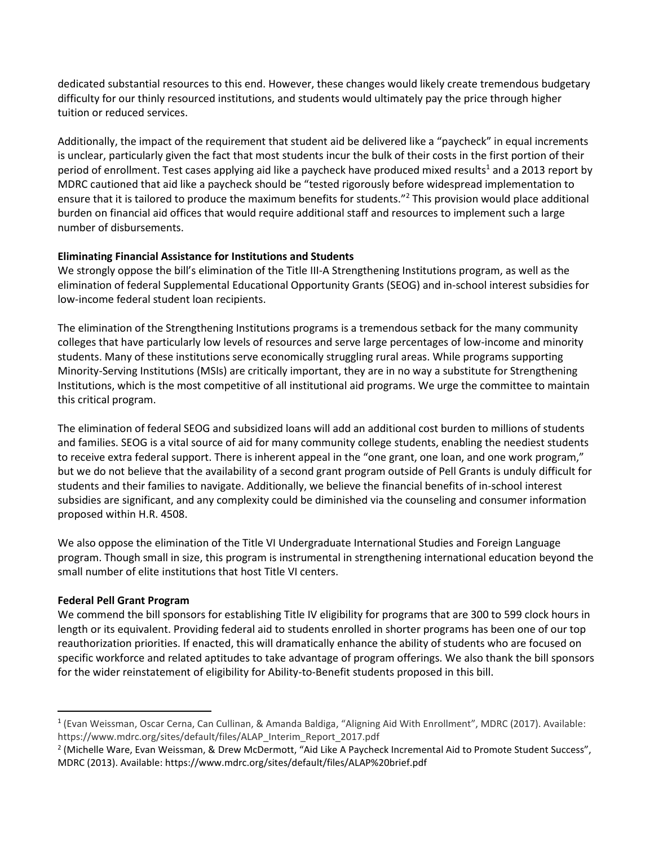dedicated substantial resources to this end. However, these changes would likely create tremendous budgetary difficulty for our thinly resourced institutions, and students would ultimately pay the price through higher tuition or reduced services.

Additionally, the impact of the requirement that student aid be delivered like a "paycheck" in equal increments is unclear, particularly given the fact that most students incur the bulk of their costs in the first portion of their period of enrollment. Test cases applying aid like a paycheck have produced mixed results<sup>1</sup> and a 2013 report by MDRC cautioned that aid like a paycheck should be "tested rigorously before widespread implementation to ensure that it is tailored to produce the maximum benefits for students."<sup>2</sup> This provision would place additional burden on financial aid offices that would require additional staff and resources to implement such a large number of disbursements.

## **Eliminating Financial Assistance for Institutions and Students**

We strongly oppose the bill's elimination of the Title III-A Strengthening Institutions program, as well as the elimination of federal Supplemental Educational Opportunity Grants (SEOG) and in-school interest subsidies for low-income federal student loan recipients.

The elimination of the Strengthening Institutions programs is a tremendous setback for the many community colleges that have particularly low levels of resources and serve large percentages of low-income and minority students. Many of these institutions serve economically struggling rural areas. While programs supporting Minority-Serving Institutions (MSIs) are critically important, they are in no way a substitute for Strengthening Institutions, which is the most competitive of all institutional aid programs. We urge the committee to maintain this critical program.

The elimination of federal SEOG and subsidized loans will add an additional cost burden to millions of students and families. SEOG is a vital source of aid for many community college students, enabling the neediest students to receive extra federal support. There is inherent appeal in the "one grant, one loan, and one work program," but we do not believe that the availability of a second grant program outside of Pell Grants is unduly difficult for students and their families to navigate. Additionally, we believe the financial benefits of in-school interest subsidies are significant, and any complexity could be diminished via the counseling and consumer information proposed within H.R. 4508.

We also oppose the elimination of the Title VI Undergraduate International Studies and Foreign Language program. Though small in size, this program is instrumental in strengthening international education beyond the small number of elite institutions that host Title VI centers.

# **Federal Pell Grant Program**

 $\overline{a}$ 

We commend the bill sponsors for establishing Title IV eligibility for programs that are 300 to 599 clock hours in length or its equivalent. Providing federal aid to students enrolled in shorter programs has been one of our top reauthorization priorities. If enacted, this will dramatically enhance the ability of students who are focused on specific workforce and related aptitudes to take advantage of program offerings. We also thank the bill sponsors for the wider reinstatement of eligibility for Ability-to-Benefit students proposed in this bill.

<sup>1</sup> (Evan Weissman, Oscar Cerna, Can Cullinan, & Amanda Baldiga, "Aligning Aid With Enrollment", MDRC (2017). Available: https://www.mdrc.org/sites/default/files/ALAP\_Interim\_Report\_2017.pdf

<sup>&</sup>lt;sup>2</sup> (Michelle Ware, Evan Weissman, & Drew McDermott, "Aid Like A Paycheck Incremental Aid to Promote Student Success", MDRC (2013). Available: https://www.mdrc.org/sites/default/files/ALAP%20brief.pdf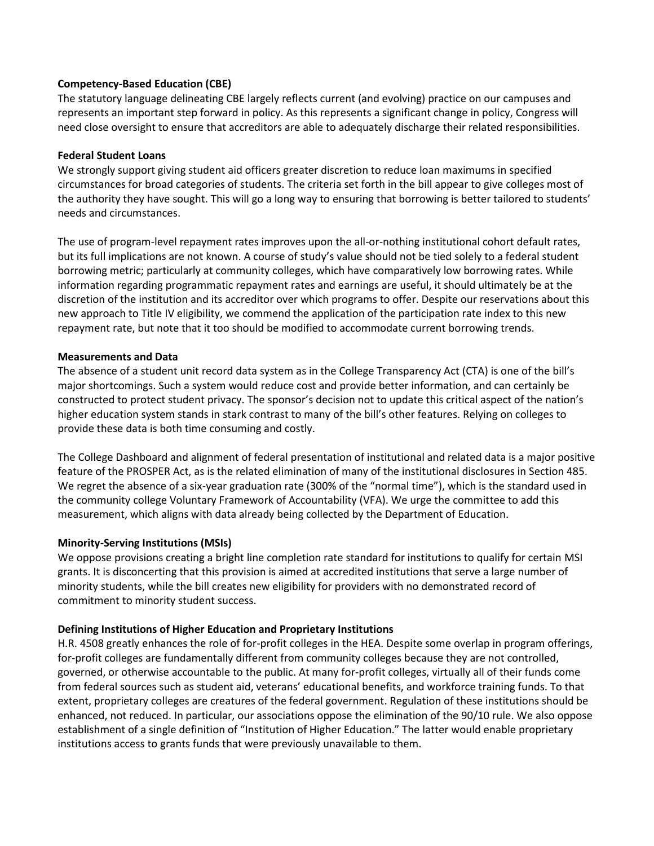## **Competency-Based Education (CBE)**

The statutory language delineating CBE largely reflects current (and evolving) practice on our campuses and represents an important step forward in policy. As this represents a significant change in policy, Congress will need close oversight to ensure that accreditors are able to adequately discharge their related responsibilities.

### **Federal Student Loans**

We strongly support giving student aid officers greater discretion to reduce loan maximums in specified circumstances for broad categories of students. The criteria set forth in the bill appear to give colleges most of the authority they have sought. This will go a long way to ensuring that borrowing is better tailored to students' needs and circumstances.

The use of program-level repayment rates improves upon the all-or-nothing institutional cohort default rates, but its full implications are not known. A course of study's value should not be tied solely to a federal student borrowing metric; particularly at community colleges, which have comparatively low borrowing rates. While information regarding programmatic repayment rates and earnings are useful, it should ultimately be at the discretion of the institution and its accreditor over which programs to offer. Despite our reservations about this new approach to Title IV eligibility, we commend the application of the participation rate index to this new repayment rate, but note that it too should be modified to accommodate current borrowing trends.

### **Measurements and Data**

The absence of a student unit record data system as in the College Transparency Act (CTA) is one of the bill's major shortcomings. Such a system would reduce cost and provide better information, and can certainly be constructed to protect student privacy. The sponsor's decision not to update this critical aspect of the nation's higher education system stands in stark contrast to many of the bill's other features. Relying on colleges to provide these data is both time consuming and costly.

The College Dashboard and alignment of federal presentation of institutional and related data is a major positive feature of the PROSPER Act, as is the related elimination of many of the institutional disclosures in Section 485. We regret the absence of a six-year graduation rate (300% of the "normal time"), which is the standard used in the community college Voluntary Framework of Accountability (VFA). We urge the committee to add this measurement, which aligns with data already being collected by the Department of Education.

## **Minority-Serving Institutions (MSIs)**

We oppose provisions creating a bright line completion rate standard for institutions to qualify for certain MSI grants. It is disconcerting that this provision is aimed at accredited institutions that serve a large number of minority students, while the bill creates new eligibility for providers with no demonstrated record of commitment to minority student success.

## **Defining Institutions of Higher Education and Proprietary Institutions**

H.R. 4508 greatly enhances the role of for-profit colleges in the HEA. Despite some overlap in program offerings, for-profit colleges are fundamentally different from community colleges because they are not controlled, governed, or otherwise accountable to the public. At many for-profit colleges, virtually all of their funds come from federal sources such as student aid, veterans' educational benefits, and workforce training funds. To that extent, proprietary colleges are creatures of the federal government. Regulation of these institutions should be enhanced, not reduced. In particular, our associations oppose the elimination of the 90/10 rule. We also oppose establishment of a single definition of "Institution of Higher Education." The latter would enable proprietary institutions access to grants funds that were previously unavailable to them.